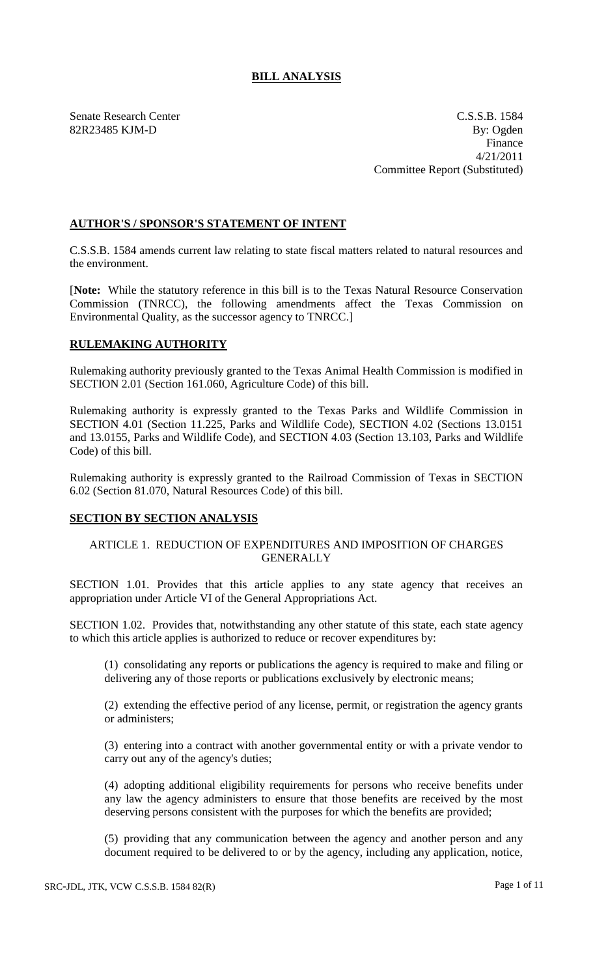# **BILL ANALYSIS**

Senate Research Center C.S.S.B. 1584 82R23485 KJM-D By: Ogden Finance 4/21/2011 Committee Report (Substituted)

## **AUTHOR'S / SPONSOR'S STATEMENT OF INTENT**

C.S.S.B. 1584 amends current law relating to state fiscal matters related to natural resources and the environment.

[**Note:** While the statutory reference in this bill is to the Texas Natural Resource Conservation Commission (TNRCC), the following amendments affect the Texas Commission on Environmental Quality, as the successor agency to TNRCC.]

# **RULEMAKING AUTHORITY**

Rulemaking authority previously granted to the Texas Animal Health Commission is modified in SECTION 2.01 (Section 161.060, Agriculture Code) of this bill.

Rulemaking authority is expressly granted to the Texas Parks and Wildlife Commission in SECTION 4.01 (Section 11.225, Parks and Wildlife Code), SECTION 4.02 (Sections 13.0151 and 13.0155, Parks and Wildlife Code), and SECTION 4.03 (Section 13.103, Parks and Wildlife Code) of this bill.

Rulemaking authority is expressly granted to the Railroad Commission of Texas in SECTION 6.02 (Section 81.070, Natural Resources Code) of this bill.

## **SECTION BY SECTION ANALYSIS**

## ARTICLE 1. REDUCTION OF EXPENDITURES AND IMPOSITION OF CHARGES **GENERALLY**

SECTION 1.01. Provides that this article applies to any state agency that receives an appropriation under Article VI of the General Appropriations Act.

SECTION 1.02. Provides that, notwithstanding any other statute of this state, each state agency to which this article applies is authorized to reduce or recover expenditures by:

(1) consolidating any reports or publications the agency is required to make and filing or delivering any of those reports or publications exclusively by electronic means;

(2) extending the effective period of any license, permit, or registration the agency grants or administers;

(3) entering into a contract with another governmental entity or with a private vendor to carry out any of the agency's duties;

(4) adopting additional eligibility requirements for persons who receive benefits under any law the agency administers to ensure that those benefits are received by the most deserving persons consistent with the purposes for which the benefits are provided;

(5) providing that any communication between the agency and another person and any document required to be delivered to or by the agency, including any application, notice,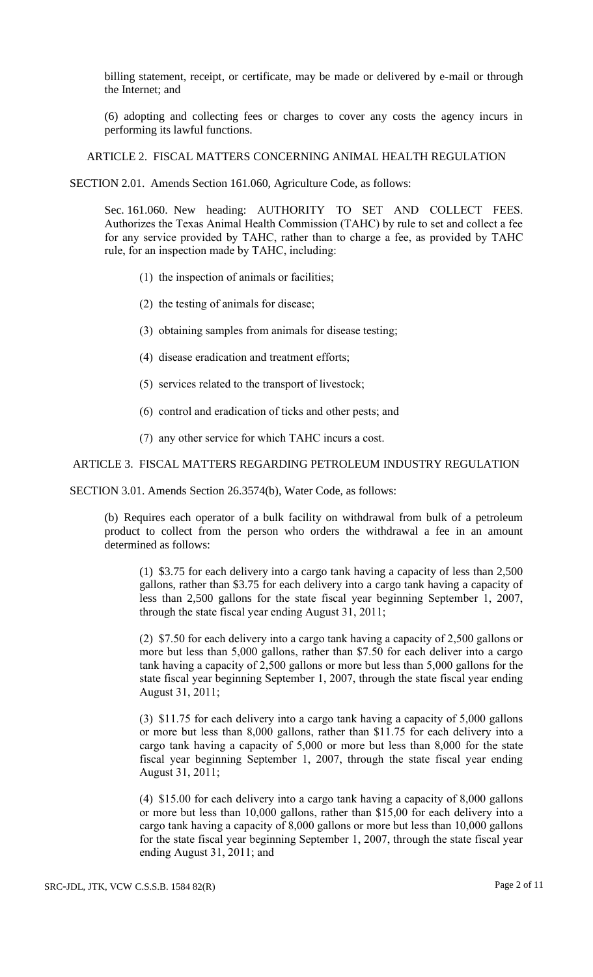billing statement, receipt, or certificate, may be made or delivered by e-mail or through the Internet; and

(6) adopting and collecting fees or charges to cover any costs the agency incurs in performing its lawful functions.

ARTICLE 2. FISCAL MATTERS CONCERNING ANIMAL HEALTH REGULATION

SECTION 2.01. Amends Section 161.060, Agriculture Code, as follows:

Sec. 161.060. New heading: AUTHORITY TO SET AND COLLECT FEES. Authorizes the Texas Animal Health Commission (TAHC) by rule to set and collect a fee for any service provided by TAHC, rather than to charge a fee, as provided by TAHC rule, for an inspection made by TAHC, including:

- (1) the inspection of animals or facilities;
- (2) the testing of animals for disease;
- (3) obtaining samples from animals for disease testing;
- (4) disease eradication and treatment efforts;
- (5) services related to the transport of livestock;
- (6) control and eradication of ticks and other pests; and
- (7) any other service for which TAHC incurs a cost.

#### ARTICLE 3. FISCAL MATTERS REGARDING PETROLEUM INDUSTRY REGULATION

SECTION 3.01. Amends Section 26.3574(b), Water Code, as follows:

(b) Requires each operator of a bulk facility on withdrawal from bulk of a petroleum product to collect from the person who orders the withdrawal a fee in an amount determined as follows:

(1) \$3.75 for each delivery into a cargo tank having a capacity of less than 2,500 gallons, rather than \$3.75 for each delivery into a cargo tank having a capacity of less than 2,500 gallons for the state fiscal year beginning September 1, 2007, through the state fiscal year ending August 31, 2011;

(2) \$7.50 for each delivery into a cargo tank having a capacity of 2,500 gallons or more but less than 5,000 gallons, rather than \$7.50 for each deliver into a cargo tank having a capacity of 2,500 gallons or more but less than 5,000 gallons for the state fiscal year beginning September 1, 2007, through the state fiscal year ending August 31, 2011;

(3) \$11.75 for each delivery into a cargo tank having a capacity of 5,000 gallons or more but less than 8,000 gallons, rather than \$11.75 for each delivery into a cargo tank having a capacity of 5,000 or more but less than 8,000 for the state fiscal year beginning September 1, 2007, through the state fiscal year ending August 31, 2011;

(4) \$15.00 for each delivery into a cargo tank having a capacity of 8,000 gallons or more but less than 10,000 gallons, rather than \$15,00 for each delivery into a cargo tank having a capacity of 8,000 gallons or more but less than 10,000 gallons for the state fiscal year beginning September 1, 2007, through the state fiscal year ending August 31, 2011; and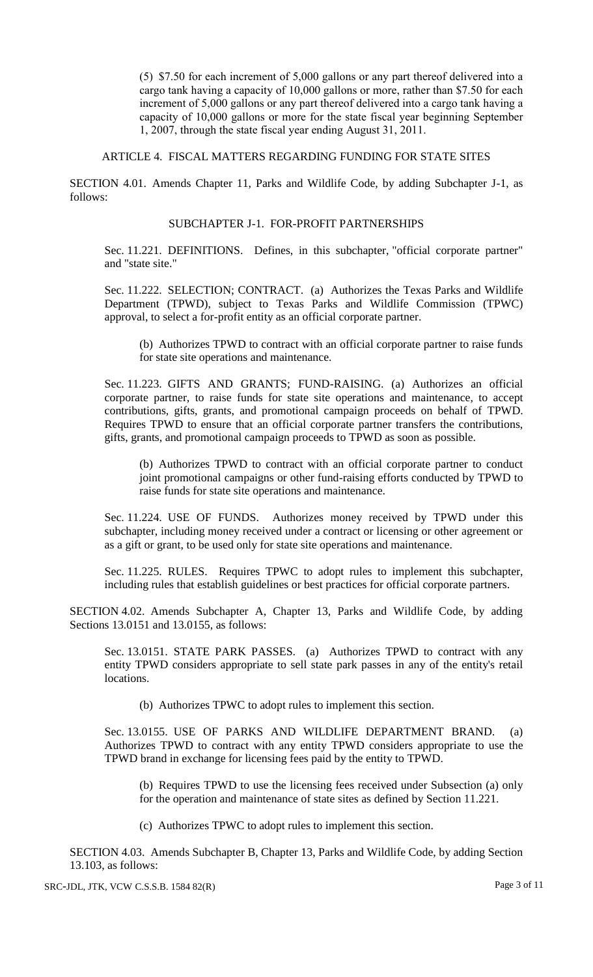(5) \$7.50 for each increment of 5,000 gallons or any part thereof delivered into a cargo tank having a capacity of 10,000 gallons or more, rather than \$7.50 for each increment of 5,000 gallons or any part thereof delivered into a cargo tank having a capacity of 10,000 gallons or more for the state fiscal year beginning September 1, 2007, through the state fiscal year ending August 31, 2011.

ARTICLE 4. FISCAL MATTERS REGARDING FUNDING FOR STATE SITES

SECTION 4.01. Amends Chapter 11, Parks and Wildlife Code, by adding Subchapter J-1, as follows:

#### SUBCHAPTER J-1. FOR-PROFIT PARTNERSHIPS

Sec. 11.221. DEFINITIONS. Defines, in this subchapter, "official corporate partner" and "state site."

Sec. 11.222. SELECTION; CONTRACT. (a) Authorizes the Texas Parks and Wildlife Department (TPWD), subject to Texas Parks and Wildlife Commission (TPWC) approval, to select a for-profit entity as an official corporate partner.

(b) Authorizes TPWD to contract with an official corporate partner to raise funds for state site operations and maintenance.

Sec. 11.223. GIFTS AND GRANTS; FUND-RAISING. (a) Authorizes an official corporate partner, to raise funds for state site operations and maintenance, to accept contributions, gifts, grants, and promotional campaign proceeds on behalf of TPWD. Requires TPWD to ensure that an official corporate partner transfers the contributions, gifts, grants, and promotional campaign proceeds to TPWD as soon as possible.

(b) Authorizes TPWD to contract with an official corporate partner to conduct joint promotional campaigns or other fund-raising efforts conducted by TPWD to raise funds for state site operations and maintenance.

Sec. 11.224. USE OF FUNDS. Authorizes money received by TPWD under this subchapter, including money received under a contract or licensing or other agreement or as a gift or grant, to be used only for state site operations and maintenance.

Sec. 11.225. RULES. Requires TPWC to adopt rules to implement this subchapter, including rules that establish guidelines or best practices for official corporate partners.

SECTION 4.02. Amends Subchapter A, Chapter 13, Parks and Wildlife Code, by adding Sections 13.0151 and 13.0155, as follows:

Sec. 13.0151. STATE PARK PASSES. (a) Authorizes TPWD to contract with any entity TPWD considers appropriate to sell state park passes in any of the entity's retail locations.

(b) Authorizes TPWC to adopt rules to implement this section.

Sec. 13.0155. USE OF PARKS AND WILDLIFE DEPARTMENT BRAND. (a) Authorizes TPWD to contract with any entity TPWD considers appropriate to use the TPWD brand in exchange for licensing fees paid by the entity to TPWD.

(b) Requires TPWD to use the licensing fees received under Subsection (a) only for the operation and maintenance of state sites as defined by Section 11.221.

(c) Authorizes TPWC to adopt rules to implement this section.

SECTION 4.03. Amends Subchapter B, Chapter 13, Parks and Wildlife Code, by adding Section 13.103, as follows: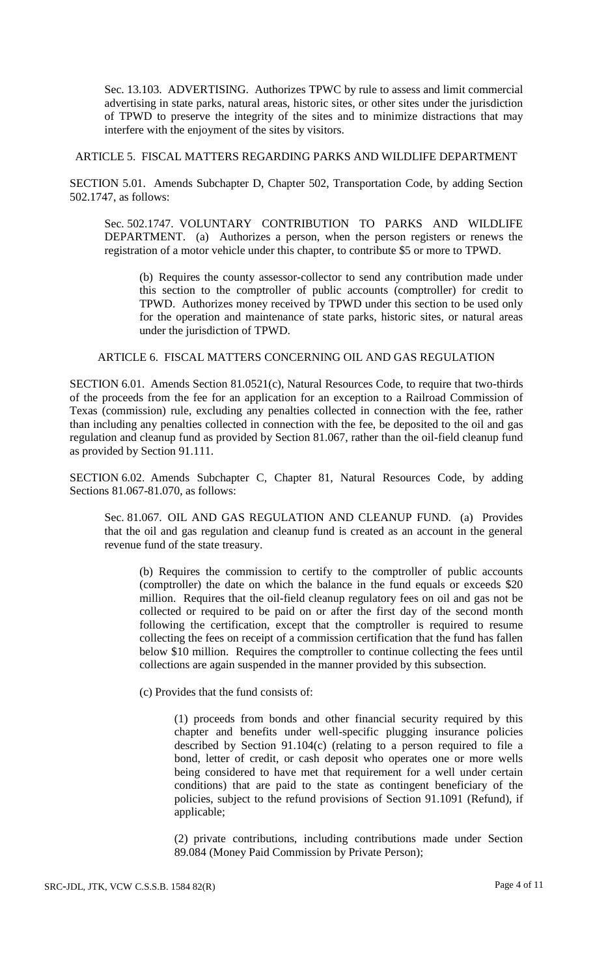Sec. 13.103. ADVERTISING. Authorizes TPWC by rule to assess and limit commercial advertising in state parks, natural areas, historic sites, or other sites under the jurisdiction of TPWD to preserve the integrity of the sites and to minimize distractions that may interfere with the enjoyment of the sites by visitors.

ARTICLE 5. FISCAL MATTERS REGARDING PARKS AND WILDLIFE DEPARTMENT

SECTION 5.01. Amends Subchapter D, Chapter 502, Transportation Code, by adding Section 502.1747, as follows:

Sec. 502.1747. VOLUNTARY CONTRIBUTION TO PARKS AND WILDLIFE DEPARTMENT. (a) Authorizes a person, when the person registers or renews the registration of a motor vehicle under this chapter, to contribute \$5 or more to TPWD.

(b) Requires the county assessor-collector to send any contribution made under this section to the comptroller of public accounts (comptroller) for credit to TPWD. Authorizes money received by TPWD under this section to be used only for the operation and maintenance of state parks, historic sites, or natural areas under the jurisdiction of TPWD.

#### ARTICLE 6. FISCAL MATTERS CONCERNING OIL AND GAS REGULATION

SECTION 6.01. Amends Section 81.0521(c), Natural Resources Code, to require that two-thirds of the proceeds from the fee for an application for an exception to a Railroad Commission of Texas (commission) rule, excluding any penalties collected in connection with the fee, rather than including any penalties collected in connection with the fee, be deposited to the oil and gas regulation and cleanup fund as provided by Section 81.067, rather than the oil-field cleanup fund as provided by Section 91.111.

SECTION 6.02. Amends Subchapter C, Chapter 81, Natural Resources Code, by adding Sections 81.067-81.070, as follows:

Sec. 81.067. OIL AND GAS REGULATION AND CLEANUP FUND. (a) Provides that the oil and gas regulation and cleanup fund is created as an account in the general revenue fund of the state treasury.

(b) Requires the commission to certify to the comptroller of public accounts (comptroller) the date on which the balance in the fund equals or exceeds \$20 million. Requires that the oil-field cleanup regulatory fees on oil and gas not be collected or required to be paid on or after the first day of the second month following the certification, except that the comptroller is required to resume collecting the fees on receipt of a commission certification that the fund has fallen below \$10 million. Requires the comptroller to continue collecting the fees until collections are again suspended in the manner provided by this subsection.

(c) Provides that the fund consists of:

(1) proceeds from bonds and other financial security required by this chapter and benefits under well-specific plugging insurance policies described by Section 91.104(c) (relating to a person required to file a bond, letter of credit, or cash deposit who operates one or more wells being considered to have met that requirement for a well under certain conditions) that are paid to the state as contingent beneficiary of the policies, subject to the refund provisions of Section 91.1091 (Refund), if applicable;

(2) private contributions, including contributions made under Section 89.084 (Money Paid Commission by Private Person);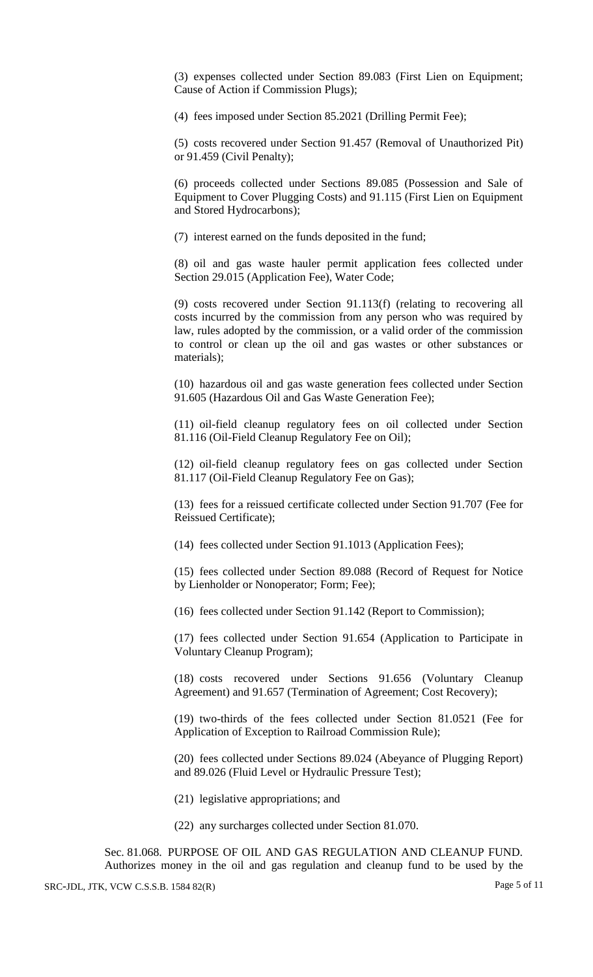(3) expenses collected under Section 89.083 (First Lien on Equipment; Cause of Action if Commission Plugs);

(4) fees imposed under Section 85.2021 (Drilling Permit Fee);

(5) costs recovered under Section 91.457 (Removal of Unauthorized Pit) or 91.459 (Civil Penalty);

(6) proceeds collected under Sections 89.085 (Possession and Sale of Equipment to Cover Plugging Costs) and 91.115 (First Lien on Equipment and Stored Hydrocarbons);

(7) interest earned on the funds deposited in the fund;

(8) oil and gas waste hauler permit application fees collected under Section 29.015 (Application Fee), Water Code;

(9) costs recovered under Section 91.113(f) (relating to recovering all costs incurred by the commission from any person who was required by law, rules adopted by the commission, or a valid order of the commission to control or clean up the oil and gas wastes or other substances or materials);

(10) hazardous oil and gas waste generation fees collected under Section 91.605 (Hazardous Oil and Gas Waste Generation Fee);

(11) oil-field cleanup regulatory fees on oil collected under Section 81.116 (Oil-Field Cleanup Regulatory Fee on Oil);

(12) oil-field cleanup regulatory fees on gas collected under Section 81.117 (Oil-Field Cleanup Regulatory Fee on Gas);

(13) fees for a reissued certificate collected under Section 91.707 (Fee for Reissued Certificate);

(14) fees collected under Section 91.1013 (Application Fees);

(15) fees collected under Section 89.088 (Record of Request for Notice by Lienholder or Nonoperator; Form; Fee);

(16) fees collected under Section 91.142 (Report to Commission);

(17) fees collected under Section 91.654 (Application to Participate in Voluntary Cleanup Program);

(18) costs recovered under Sections 91.656 (Voluntary Cleanup Agreement) and 91.657 (Termination of Agreement; Cost Recovery);

(19) two-thirds of the fees collected under Section 81.0521 (Fee for Application of Exception to Railroad Commission Rule);

(20) fees collected under Sections 89.024 (Abeyance of Plugging Report) and 89.026 (Fluid Level or Hydraulic Pressure Test);

(21) legislative appropriations; and

(22) any surcharges collected under Section 81.070.

Sec. 81.068. PURPOSE OF OIL AND GAS REGULATION AND CLEANUP FUND. Authorizes money in the oil and gas regulation and cleanup fund to be used by the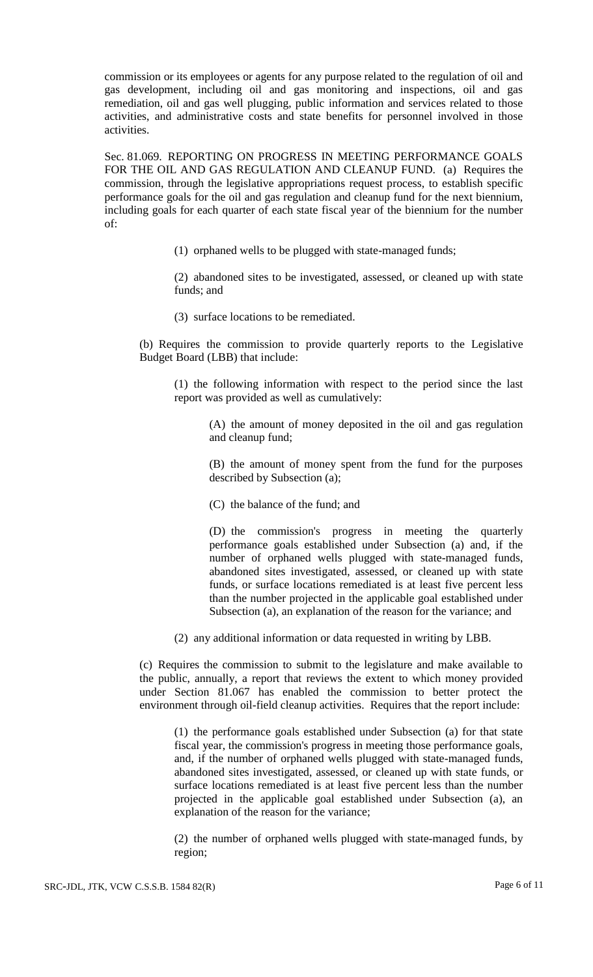commission or its employees or agents for any purpose related to the regulation of oil and gas development, including oil and gas monitoring and inspections, oil and gas remediation, oil and gas well plugging, public information and services related to those activities, and administrative costs and state benefits for personnel involved in those activities.

Sec. 81.069. REPORTING ON PROGRESS IN MEETING PERFORMANCE GOALS FOR THE OIL AND GAS REGULATION AND CLEANUP FUND. (a) Requires the commission, through the legislative appropriations request process, to establish specific performance goals for the oil and gas regulation and cleanup fund for the next biennium, including goals for each quarter of each state fiscal year of the biennium for the number of:

(1) orphaned wells to be plugged with state-managed funds;

(2) abandoned sites to be investigated, assessed, or cleaned up with state funds; and

(3) surface locations to be remediated.

(b) Requires the commission to provide quarterly reports to the Legislative Budget Board (LBB) that include:

(1) the following information with respect to the period since the last report was provided as well as cumulatively:

> (A) the amount of money deposited in the oil and gas regulation and cleanup fund;

> (B) the amount of money spent from the fund for the purposes described by Subsection (a);

(C) the balance of the fund; and

(D) the commission's progress in meeting the quarterly performance goals established under Subsection (a) and, if the number of orphaned wells plugged with state-managed funds, abandoned sites investigated, assessed, or cleaned up with state funds, or surface locations remediated is at least five percent less than the number projected in the applicable goal established under Subsection (a), an explanation of the reason for the variance; and

(2) any additional information or data requested in writing by LBB.

(c) Requires the commission to submit to the legislature and make available to the public, annually, a report that reviews the extent to which money provided under Section 81.067 has enabled the commission to better protect the environment through oil-field cleanup activities. Requires that the report include:

(1) the performance goals established under Subsection (a) for that state fiscal year, the commission's progress in meeting those performance goals, and, if the number of orphaned wells plugged with state-managed funds, abandoned sites investigated, assessed, or cleaned up with state funds, or surface locations remediated is at least five percent less than the number projected in the applicable goal established under Subsection (a), an explanation of the reason for the variance;

(2) the number of orphaned wells plugged with state-managed funds, by region;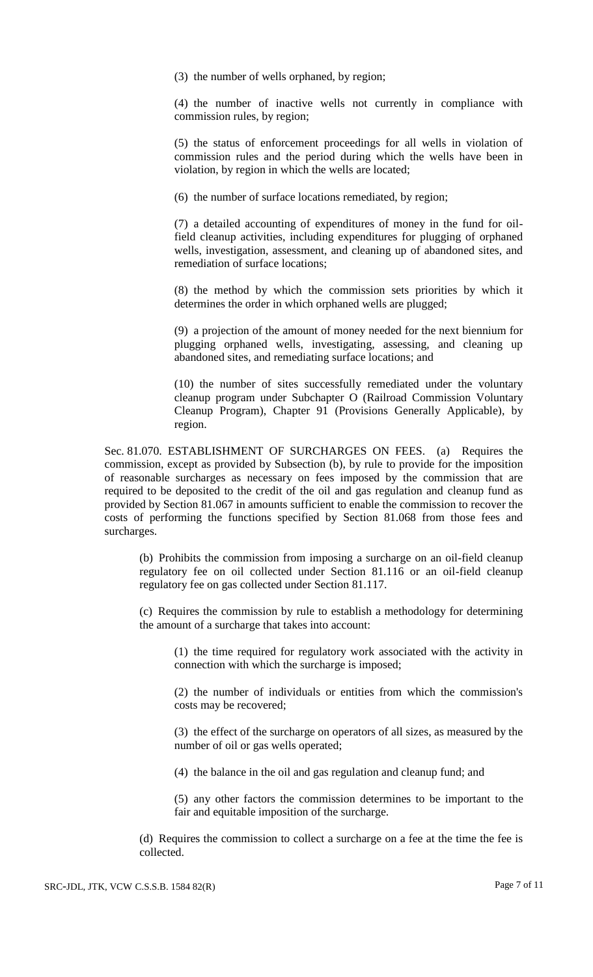(3) the number of wells orphaned, by region;

(4) the number of inactive wells not currently in compliance with commission rules, by region;

(5) the status of enforcement proceedings for all wells in violation of commission rules and the period during which the wells have been in violation, by region in which the wells are located;

(6) the number of surface locations remediated, by region;

(7) a detailed accounting of expenditures of money in the fund for oilfield cleanup activities, including expenditures for plugging of orphaned wells, investigation, assessment, and cleaning up of abandoned sites, and remediation of surface locations;

(8) the method by which the commission sets priorities by which it determines the order in which orphaned wells are plugged;

(9) a projection of the amount of money needed for the next biennium for plugging orphaned wells, investigating, assessing, and cleaning up abandoned sites, and remediating surface locations; and

(10) the number of sites successfully remediated under the voluntary cleanup program under Subchapter O (Railroad Commission Voluntary Cleanup Program), Chapter 91 (Provisions Generally Applicable), by region.

Sec. 81.070. ESTABLISHMENT OF SURCHARGES ON FEES. (a) Requires the commission, except as provided by Subsection (b), by rule to provide for the imposition of reasonable surcharges as necessary on fees imposed by the commission that are required to be deposited to the credit of the oil and gas regulation and cleanup fund as provided by Section 81.067 in amounts sufficient to enable the commission to recover the costs of performing the functions specified by Section 81.068 from those fees and surcharges.

(b) Prohibits the commission from imposing a surcharge on an oil-field cleanup regulatory fee on oil collected under Section 81.116 or an oil-field cleanup regulatory fee on gas collected under Section 81.117.

(c) Requires the commission by rule to establish a methodology for determining the amount of a surcharge that takes into account:

(1) the time required for regulatory work associated with the activity in connection with which the surcharge is imposed;

(2) the number of individuals or entities from which the commission's costs may be recovered;

(3) the effect of the surcharge on operators of all sizes, as measured by the number of oil or gas wells operated;

(4) the balance in the oil and gas regulation and cleanup fund; and

(5) any other factors the commission determines to be important to the fair and equitable imposition of the surcharge.

(d) Requires the commission to collect a surcharge on a fee at the time the fee is collected.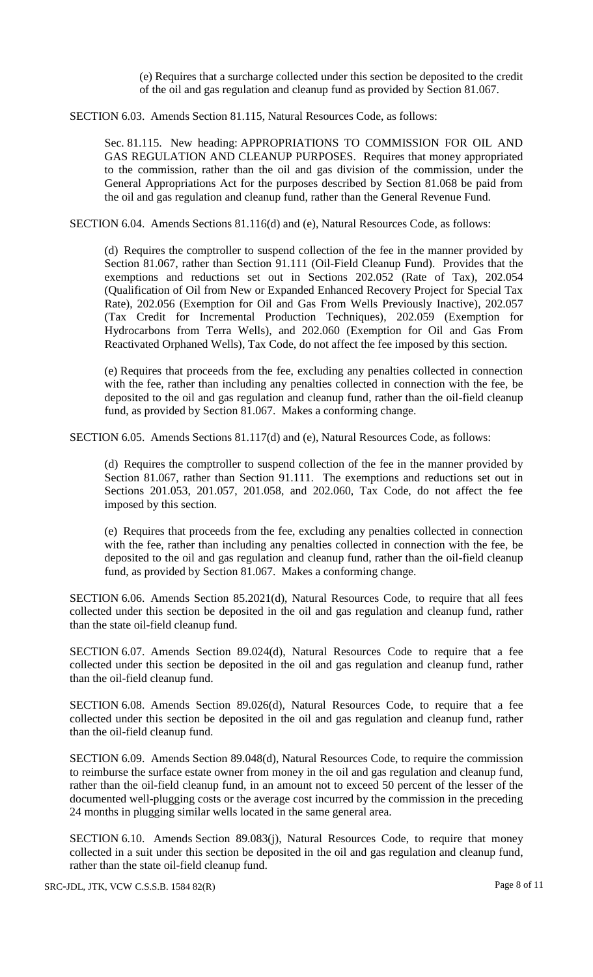(e) Requires that a surcharge collected under this section be deposited to the credit of the oil and gas regulation and cleanup fund as provided by Section 81.067.

SECTION 6.03. Amends Section 81.115, Natural Resources Code, as follows:

Sec. 81.115. New heading: APPROPRIATIONS TO COMMISSION FOR OIL AND GAS REGULATION AND CLEANUP PURPOSES. Requires that money appropriated to the commission, rather than the oil and gas division of the commission, under the General Appropriations Act for the purposes described by Section 81.068 be paid from the oil and gas regulation and cleanup fund, rather than the General Revenue Fund.

SECTION 6.04. Amends Sections 81.116(d) and (e), Natural Resources Code, as follows:

(d) Requires the comptroller to suspend collection of the fee in the manner provided by Section 81.067, rather than Section 91.111 (Oil-Field Cleanup Fund). Provides that the exemptions and reductions set out in Sections 202.052 (Rate of Tax), 202.054 (Qualification of Oil from New or Expanded Enhanced Recovery Project for Special Tax Rate), 202.056 (Exemption for Oil and Gas From Wells Previously Inactive), 202.057 (Tax Credit for Incremental Production Techniques), 202.059 (Exemption for Hydrocarbons from Terra Wells), and 202.060 (Exemption for Oil and Gas From Reactivated Orphaned Wells), Tax Code, do not affect the fee imposed by this section.

(e) Requires that proceeds from the fee, excluding any penalties collected in connection with the fee, rather than including any penalties collected in connection with the fee, be deposited to the oil and gas regulation and cleanup fund, rather than the oil-field cleanup fund, as provided by Section 81.067. Makes a conforming change.

SECTION 6.05. Amends Sections 81.117(d) and (e), Natural Resources Code, as follows:

(d) Requires the comptroller to suspend collection of the fee in the manner provided by Section 81.067, rather than Section 91.111. The exemptions and reductions set out in Sections 201.053, 201.057, 201.058, and 202.060, Tax Code, do not affect the fee imposed by this section.

(e) Requires that proceeds from the fee, excluding any penalties collected in connection with the fee, rather than including any penalties collected in connection with the fee, be deposited to the oil and gas regulation and cleanup fund, rather than the oil-field cleanup fund, as provided by Section 81.067. Makes a conforming change.

SECTION 6.06. Amends Section 85.2021(d), Natural Resources Code, to require that all fees collected under this section be deposited in the oil and gas regulation and cleanup fund, rather than the state oil-field cleanup fund.

SECTION 6.07. Amends Section 89.024(d), Natural Resources Code to require that a fee collected under this section be deposited in the oil and gas regulation and cleanup fund, rather than the oil-field cleanup fund.

SECTION 6.08. Amends Section 89.026(d), Natural Resources Code, to require that a fee collected under this section be deposited in the oil and gas regulation and cleanup fund, rather than the oil-field cleanup fund.

SECTION 6.09. Amends Section 89.048(d), Natural Resources Code, to require the commission to reimburse the surface estate owner from money in the oil and gas regulation and cleanup fund, rather than the oil-field cleanup fund, in an amount not to exceed 50 percent of the lesser of the documented well-plugging costs or the average cost incurred by the commission in the preceding 24 months in plugging similar wells located in the same general area.

SECTION 6.10. Amends Section 89.083(j), Natural Resources Code, to require that money collected in a suit under this section be deposited in the oil and gas regulation and cleanup fund, rather than the state oil-field cleanup fund.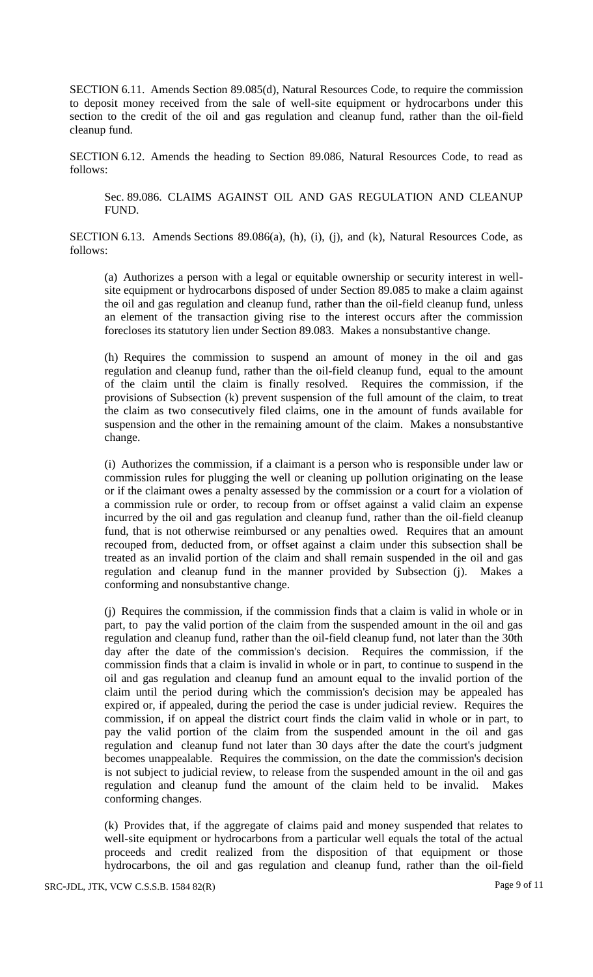SECTION 6.11. Amends Section 89.085(d), Natural Resources Code, to require the commission to deposit money received from the sale of well-site equipment or hydrocarbons under this section to the credit of the oil and gas regulation and cleanup fund, rather than the oil-field cleanup fund.

SECTION 6.12. Amends the heading to Section 89.086, Natural Resources Code, to read as follows:

Sec. 89.086. CLAIMS AGAINST OIL AND GAS REGULATION AND CLEANUP FUND.

SECTION 6.13. Amends Sections 89.086(a), (h), (i), (j), and (k), Natural Resources Code, as follows:

(a) Authorizes a person with a legal or equitable ownership or security interest in wellsite equipment or hydrocarbons disposed of under Section 89.085 to make a claim against the oil and gas regulation and cleanup fund, rather than the oil-field cleanup fund, unless an element of the transaction giving rise to the interest occurs after the commission forecloses its statutory lien under Section 89.083. Makes a nonsubstantive change.

(h) Requires the commission to suspend an amount of money in the oil and gas regulation and cleanup fund, rather than the oil-field cleanup fund, equal to the amount of the claim until the claim is finally resolved. Requires the commission, if the provisions of Subsection (k) prevent suspension of the full amount of the claim, to treat the claim as two consecutively filed claims, one in the amount of funds available for suspension and the other in the remaining amount of the claim. Makes a nonsubstantive change.

(i) Authorizes the commission, if a claimant is a person who is responsible under law or commission rules for plugging the well or cleaning up pollution originating on the lease or if the claimant owes a penalty assessed by the commission or a court for a violation of a commission rule or order, to recoup from or offset against a valid claim an expense incurred by the oil and gas regulation and cleanup fund, rather than the oil-field cleanup fund, that is not otherwise reimbursed or any penalties owed. Requires that an amount recouped from, deducted from, or offset against a claim under this subsection shall be treated as an invalid portion of the claim and shall remain suspended in the oil and gas regulation and cleanup fund in the manner provided by Subsection (j). Makes a conforming and nonsubstantive change.

(j) Requires the commission, if the commission finds that a claim is valid in whole or in part, to pay the valid portion of the claim from the suspended amount in the oil and gas regulation and cleanup fund, rather than the oil-field cleanup fund, not later than the 30th day after the date of the commission's decision. Requires the commission, if the commission finds that a claim is invalid in whole or in part, to continue to suspend in the oil and gas regulation and cleanup fund an amount equal to the invalid portion of the claim until the period during which the commission's decision may be appealed has expired or, if appealed, during the period the case is under judicial review. Requires the commission, if on appeal the district court finds the claim valid in whole or in part, to pay the valid portion of the claim from the suspended amount in the oil and gas regulation and cleanup fund not later than 30 days after the date the court's judgment becomes unappealable. Requires the commission, on the date the commission's decision is not subject to judicial review, to release from the suspended amount in the oil and gas regulation and cleanup fund the amount of the claim held to be invalid. Makes conforming changes.

(k) Provides that, if the aggregate of claims paid and money suspended that relates to well-site equipment or hydrocarbons from a particular well equals the total of the actual proceeds and credit realized from the disposition of that equipment or those hydrocarbons, the oil and gas regulation and cleanup fund, rather than the oil-field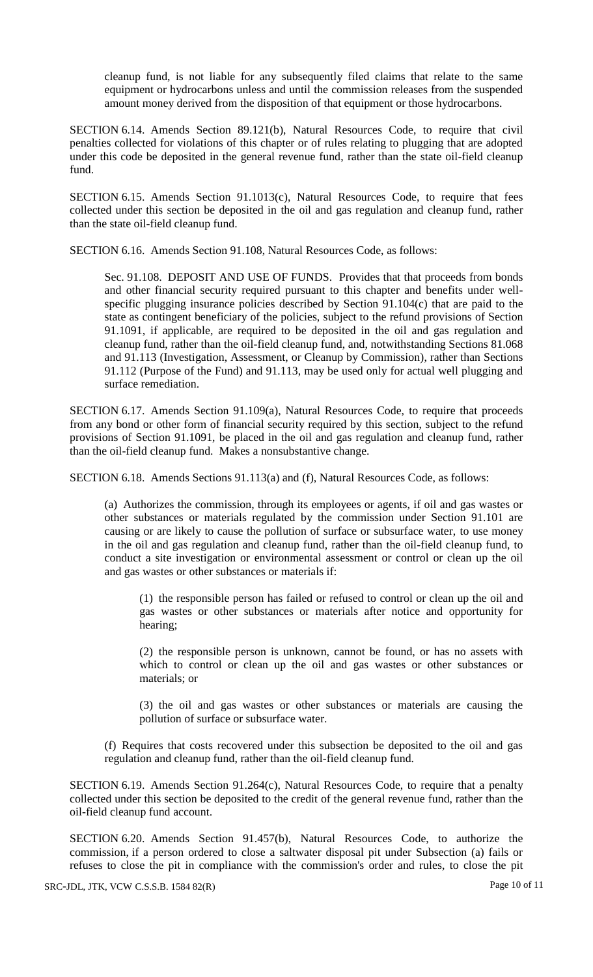cleanup fund, is not liable for any subsequently filed claims that relate to the same equipment or hydrocarbons unless and until the commission releases from the suspended amount money derived from the disposition of that equipment or those hydrocarbons.

SECTION 6.14. Amends Section 89.121(b), Natural Resources Code, to require that civil penalties collected for violations of this chapter or of rules relating to plugging that are adopted under this code be deposited in the general revenue fund, rather than the state oil-field cleanup fund.

SECTION 6.15. Amends Section 91.1013(c), Natural Resources Code, to require that fees collected under this section be deposited in the oil and gas regulation and cleanup fund, rather than the state oil-field cleanup fund.

SECTION 6.16. Amends Section 91.108, Natural Resources Code, as follows:

Sec. 91.108. DEPOSIT AND USE OF FUNDS. Provides that that proceeds from bonds and other financial security required pursuant to this chapter and benefits under wellspecific plugging insurance policies described by Section 91.104(c) that are paid to the state as contingent beneficiary of the policies, subject to the refund provisions of Section 91.1091, if applicable, are required to be deposited in the oil and gas regulation and cleanup fund, rather than the oil-field cleanup fund, and, notwithstanding Sections 81.068 and 91.113 (Investigation, Assessment, or Cleanup by Commission), rather than Sections 91.112 (Purpose of the Fund) and 91.113, may be used only for actual well plugging and surface remediation.

SECTION 6.17. Amends Section 91.109(a), Natural Resources Code, to require that proceeds from any bond or other form of financial security required by this section, subject to the refund provisions of Section 91.1091, be placed in the oil and gas regulation and cleanup fund, rather than the oil-field cleanup fund. Makes a nonsubstantive change.

SECTION 6.18. Amends Sections 91.113(a) and (f), Natural Resources Code, as follows:

(a) Authorizes the commission, through its employees or agents, if oil and gas wastes or other substances or materials regulated by the commission under Section 91.101 are causing or are likely to cause the pollution of surface or subsurface water, to use money in the oil and gas regulation and cleanup fund, rather than the oil-field cleanup fund, to conduct a site investigation or environmental assessment or control or clean up the oil and gas wastes or other substances or materials if:

(1) the responsible person has failed or refused to control or clean up the oil and gas wastes or other substances or materials after notice and opportunity for hearing;

(2) the responsible person is unknown, cannot be found, or has no assets with which to control or clean up the oil and gas wastes or other substances or materials; or

(3) the oil and gas wastes or other substances or materials are causing the pollution of surface or subsurface water.

(f) Requires that costs recovered under this subsection be deposited to the oil and gas regulation and cleanup fund, rather than the oil-field cleanup fund.

SECTION 6.19. Amends Section 91.264(c), Natural Resources Code, to require that a penalty collected under this section be deposited to the credit of the general revenue fund, rather than the oil-field cleanup fund account.

SECTION 6.20. Amends Section 91.457(b), Natural Resources Code, to authorize the commission, if a person ordered to close a saltwater disposal pit under Subsection (a) fails or refuses to close the pit in compliance with the commission's order and rules, to close the pit